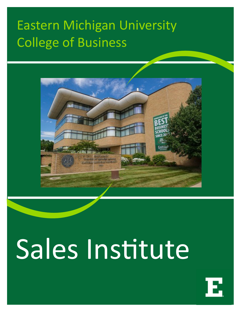## Eastern Michigan University College of Business



# Sales Institute

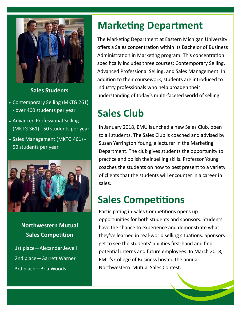

**Sales Students**

- Contemporary Selling (MKTG 261)
	- over 400 students per year
- Advanced Professional Selling (MKTG 361) - 50 students per year
- Sales Management (MKTG 461) -50 students per year



#### **Northwestern Mutual Sales Competition**

1st place—Alexander Jewell 2nd place—Garrett Warner 3rd place—Bria Woods

## **Marketing Department**

The Marketing Department at Eastern Michigan University offers a Sales concentration within its Bachelor of Business Administration in Marketing program. This concentration specifically includes three courses: Contemporary Selling, Advanced Professional Selling, and Sales Management. In addition to their coursework, students are introduced to industry professionals who help broaden their understanding of today's multi-faceted world of selling.

## **Sales Club**

In January 2018, EMU launched a new Sales Club, open to all students. The Sales Club is coached and advised by Susan Yarrington Young, a lecturer in the Marketing Department. The club gives students the opportunity to practice and polish their selling skills. Professor Young coaches the students on how to best present to a variety of clients that the students will encounter in a career in sales.

## **Sales Competitions**

Participating in Sales Competitions opens up opportunities for both students and sponsors. Students have the chance to experience and demonstrate what they've learned in real-world selling situations. Sponsors get to see the students' abilities first-hand and find potential interns and future employees. In March 2018, EMU's College of Business hosted the annual Northwestern Mutual Sales Contest.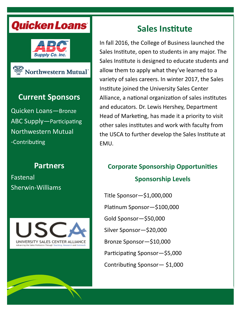## **Quicken Loans**



#### Northwestern Mutual

#### **Current Sponsors**

Quicken Loans—Bronze ABC Supply—Participating Northwestern Mutual -Contributing

#### **Partners**

Fastenal Sherwin-Williams



### **Sales Institute**

In fall 2016, the College of Business launched the Sales Institute, open to students in any major. The Sales Institute is designed to educate students and allow them to apply what they've learned to a variety of sales careers. In winter 2017, the Sales Institute joined the University Sales Center Alliance, a national organization of sales institutes and educators. Dr. Lewis Hershey, Department Head of Marketing, has made it a priority to visit other sales institutes and work with faculty from the USCA to further develop the Sales Institute at EMU.

## **Corporate Sponsorship Opportunities**

#### **Sponsorship Levels**

Title Sponsor—\$1,000,000 Platinum Sponsor—\$100,000 Gold Sponsor—\$50,000 Silver Sponsor—\$20,000 Bronze Sponsor—\$10,000 Participating Sponsor—\$5,000 Contributing Sponsor— \$1,000